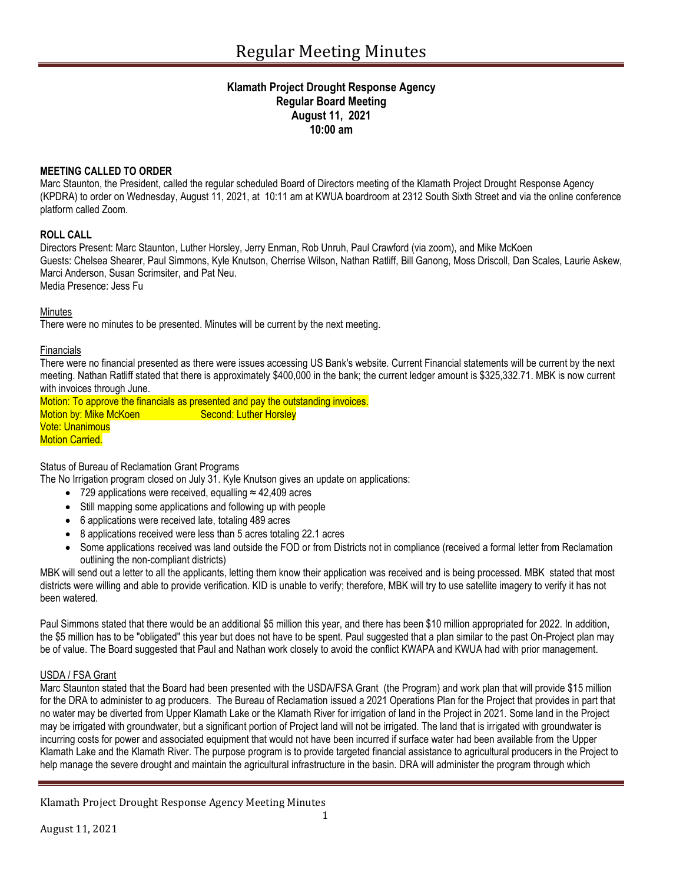# **Klamath Project Drought Response Agency Regular Board Meeting August 11, 2021 10:00 am**

## **MEETING CALLED TO ORDER**

Marc Staunton, the President, called the regular scheduled Board of Directors meeting of the Klamath Project Drought Response Agency (KPDRA) to order on Wednesday, August 11, 2021, at 10:11 am at KWUA boardroom at 2312 South Sixth Street and via the online conference platform called Zoom.

## **ROLL CALL**

Directors Present: Marc Staunton, Luther Horsley, Jerry Enman, Rob Unruh, Paul Crawford (via zoom), and Mike McKoen Guests: Chelsea Shearer, Paul Simmons, Kyle Knutson, Cherrise Wilson, Nathan Ratliff, Bill Ganong, Moss Driscoll, Dan Scales, Laurie Askew, Marci Anderson, Susan Scrimsiter, and Pat Neu. Media Presence: Jess Fu

Minutes

There were no minutes to be presented. Minutes will be current by the next meeting.

### Financials

There were no financial presented as there were issues accessing US Bank's website. Current Financial statements will be current by the next meeting. Nathan Ratliff stated that there is approximately \$400,000 in the bank; the current ledger amount is \$325,332.71. MBK is now current with invoices through June.

Motion: To approve the financials as presented and pay the outstanding invoices. Motion by: Mike McKoen Second: Luther Horsley Vote: Unanimous Motion Carried.

Status of Bureau of Reclamation Grant Programs

The No Irrigation program closed on July 31. Kyle Knutson gives an update on applications:

- 729 applications were received, equalling ≈ 42,409 acres
- Still mapping some applications and following up with people
- 6 applications were received late, totaling 489 acres
- 8 applications received were less than 5 acres totaling 22.1 acres
- Some applications received was land outside the FOD or from Districts not in compliance (received a formal letter from Reclamation outlining the non-compliant districts)

MBK will send out a letter to all the applicants, letting them know their application was received and is being processed. MBK stated that most districts were willing and able to provide verification. KID is unable to verify; therefore, MBK will try to use satellite imagery to verify it has not been watered.

Paul Simmons stated that there would be an additional \$5 million this year, and there has been \$10 million appropriated for 2022. In addition, the \$5 million has to be "obligated" this year but does not have to be spent. Paul suggested that a plan similar to the past On-Project plan may be of value. The Board suggested that Paul and Nathan work closely to avoid the conflict KWAPA and KWUA had with prior management.

### USDA / FSA Grant

Marc Staunton stated that the Board had been presented with the USDA/FSA Grant (the Program) and work plan that will provide \$15 million for the DRA to administer to ag producers. The Bureau of Reclamation issued a 2021 Operations Plan for the Project that provides in part that no water may be diverted from Upper Klamath Lake or the Klamath River for irrigation of land in the Project in 2021. Some land in the Project may be irrigated with groundwater, but a significant portion of Project land will not be irrigated. The land that is irrigated with groundwater is incurring costs for power and associated equipment that would not have been incurred if surface water had been available from the Upper Klamath Lake and the Klamath River. The purpose program is to provide targeted financial assistance to agricultural producers in the Project to help manage the severe drought and maintain the agricultural infrastructure in the basin. DRA will administer the program through which

Klamath Project Drought Response Agency Meeting Minutes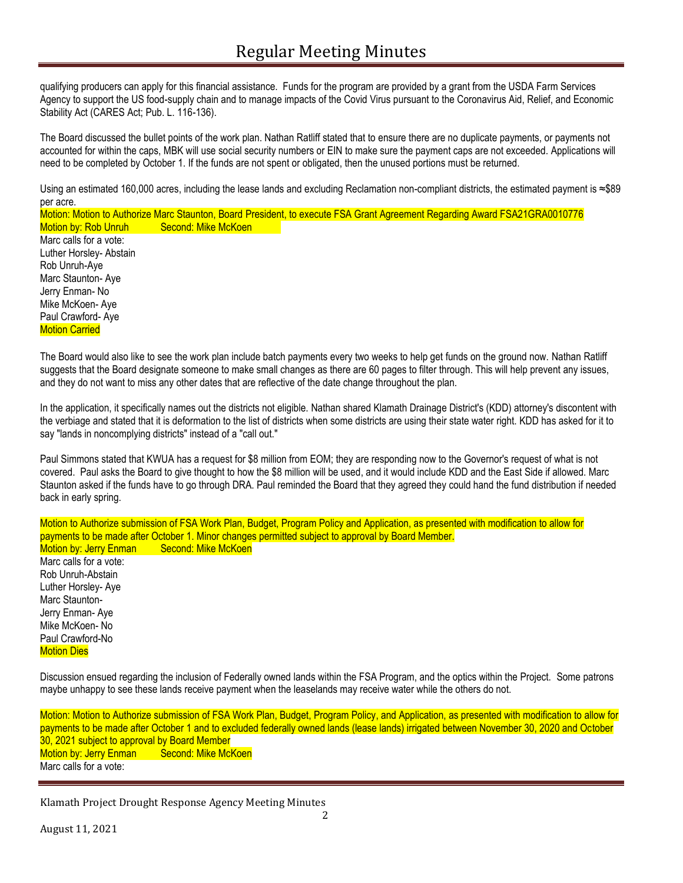qualifying producers can apply for this financial assistance. Funds for the program are provided by a grant from the USDA Farm Services Agency to support the US food-supply chain and to manage impacts of the Covid Virus pursuant to the Coronavirus Aid, Relief, and Economic Stability Act (CARES Act; Pub. L. 116-136).

The Board discussed the bullet points of the work plan. Nathan Ratliff stated that to ensure there are no duplicate payments, or payments not accounted for within the caps, MBK will use social security numbers or EIN to make sure the payment caps are not exceeded. Applications will need to be completed by October 1. If the funds are not spent or obligated, then the unused portions must be returned.

Using an estimated 160,000 acres, including the lease lands and excluding Reclamation non-compliant districts, the estimated payment is ≈\$89 per acre.

Motion: Motion to Authorize Marc Staunton, Board President, to execute FSA Grant Agreement Regarding Award FSA21GRA0010776 Motion by: Rob Unruh Second: Mike McKoen Marc calls for a vote: Luther Horsley- Abstain Rob Unruh-Aye Marc Staunton- Aye Jerry Enman- No Mike McKoen- Aye Paul Crawford- Aye **Motion Carried** 

The Board would also like to see the work plan include batch payments every two weeks to help get funds on the ground now. Nathan Ratliff suggests that the Board designate someone to make small changes as there are 60 pages to filter through. This will help prevent any issues, and they do not want to miss any other dates that are reflective of the date change throughout the plan.

In the application, it specifically names out the districts not eligible. Nathan shared Klamath Drainage District's (KDD) attorney's discontent with the verbiage and stated that it is deformation to the list of districts when some districts are using their state water right. KDD has asked for it to say "lands in noncomplying districts" instead of a "call out."

Paul Simmons stated that KWUA has a request for \$8 million from EOM; they are responding now to the Governor's request of what is not covered. Paul asks the Board to give thought to how the \$8 million will be used, and it would include KDD and the East Side if allowed. Marc Staunton asked if the funds have to go through DRA. Paul reminded the Board that they agreed they could hand the fund distribution if needed back in early spring.

Motion to Authorize submission of FSA Work Plan, Budget, Program Policy and Application, as presented with modification to allow for payments to be made after October 1. Minor changes permitted subject to approval by Board Member. Motion by: Jerry Enman Second: Mike McKoen Marc calls for a vote: Rob Unruh-Abstain Luther Horsley- Aye Marc Staunton-Jerry Enman- Aye Mike McKoen- No Paul Crawford-No **Motion Dies** 

Discussion ensued regarding the inclusion of Federally owned lands within the FSA Program, and the optics within the Project. Some patrons maybe unhappy to see these lands receive payment when the leaselands may receive water while the others do not.

Motion: Motion to Authorize submission of FSA Work Plan, Budget, Program Policy, and Application, as presented with modification to allow for payments to be made after October 1 and to excluded federally owned lands (lease lands) irrigated between November 30, 2020 and October 30, 2021 subject to approval by Board Member Motion by: Jerry Enman Second: Mike McKoen Marc calls for a vote:

Klamath Project Drought Response Agency Meeting Minutes